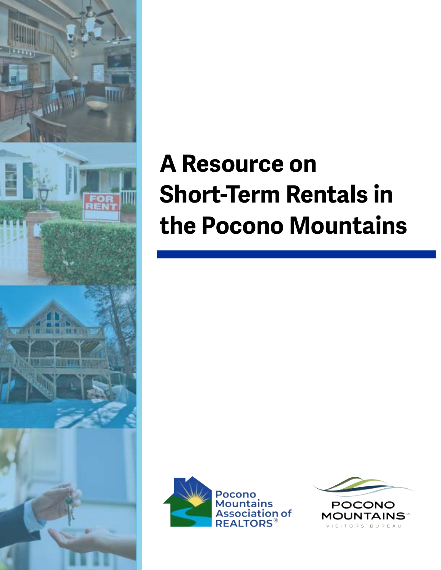

# **A Resource on Short-Term Rentals in the Pocono Mountains**



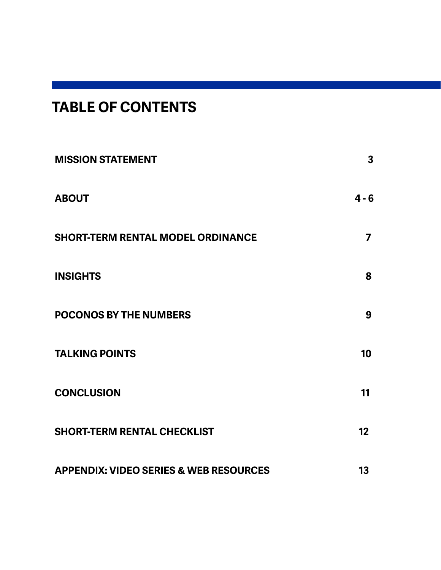# **TABLE OF CONTENTS**

| <b>MISSION STATEMENT</b>                          | 3               |
|---------------------------------------------------|-----------------|
| <b>ABOUT</b>                                      | $4 - 6$         |
| <b>SHORT-TERM RENTAL MODEL ORDINANCE</b>          | 7               |
| <b>INSIGHTS</b>                                   | 8               |
| <b>POCONOS BY THE NUMBERS</b>                     | 9               |
| <b>TALKING POINTS</b>                             | 10 <sup>°</sup> |
| <b>CONCLUSION</b>                                 | 11              |
| <b>SHORT-TERM RENTAL CHECKLIST</b>                | 12              |
| <b>APPENDIX: VIDEO SERIES &amp; WEB RESOURCES</b> | 13              |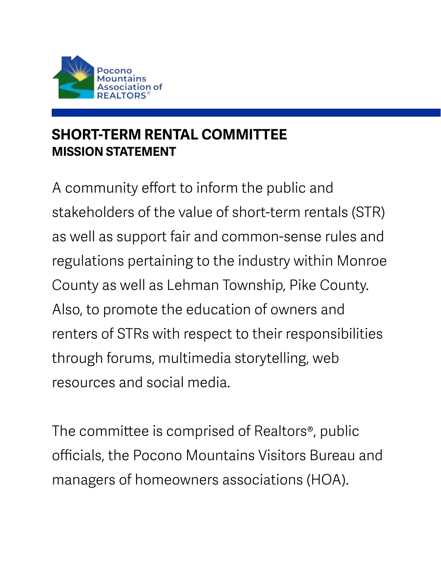<span id="page-2-0"></span>

## **SHORT-TERM RENTAL COMMITTEE MISSION STATEMENT**

A community effort to inform the public and stakeholders of the value of short-term rentals (STR) as well as support fair and common-sense rules and regulations pertaining to the industry within Monroe County as well as Lehman Township, Pike County. Also, to promote the education of owners and renters of STRs with respect to their responsibilities through forums, multimedia storytelling, web resources and social media.

The committee is comprised of Realtors®, public officials, the Pocono Mountains Visitors Bureau and managers of homeowners associations (HOA).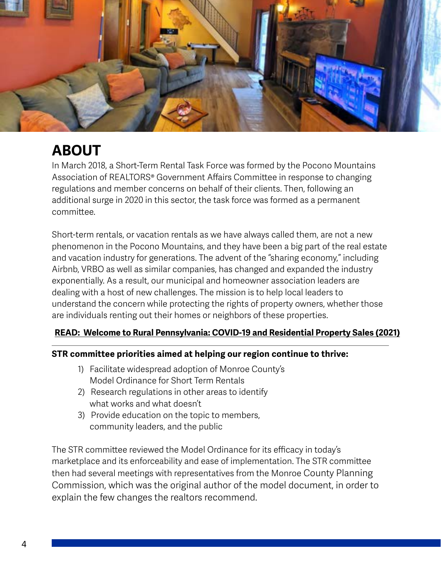<span id="page-3-0"></span>

# **ABOUT**

In March 2018, a Short-Term Rental Task Force was formed by the Pocono Mountains Association of REALTORS® Government Affairs Committee in response to changing regulations and member concerns on behalf of their clients. Then, following an additional surge in 2020 in this sector, the task force was formed as a permanent committee.

Short-term rentals, or vacation rentals as we have always called them, are not a new phenomenon in the Pocono Mountains, and they have been a big part of the real estate and vacation industry for generations. The advent of the "sharing economy," including Airbnb, VRBO as well as similar companies, has changed and expanded the industry exponentially. As a result, our municipal and homeowner association leaders are dealing with a host of new challenges. The mission is to help local leaders to understand the concern while protecting the rights of property owners, whether those are individuals renting out their homes or neighbors of these properties.

### **[READ: Welcome to Rural Pennsylvania: COVID-19 and Residential Property Sales \(2021\)](https://www.rural.pa.gov/download.cfm?file=Resources/PDFs/research-report/COVID-19-and-Residential-Property-Sales-102721.pdf)**

#### **STR committee priorities aimed at helping our region continue to thrive:**

- 1) Facilitate widespread adoption of Monroe County's Model Ordinance for Short Term Rentals
- 2) Research regulations in other areas to identify what works and what doesn't
- 3) Provide education on the topic to members, community leaders, and the public

The STR committee reviewed the Model Ordinance for its efficacy in today's marketplace and its enforceability and ease of implementation. The STR committee then had several meetings with representatives from the Monroe County Planning Commission, which was the original author of the model document, in order to explain the few changes the realtors recommend.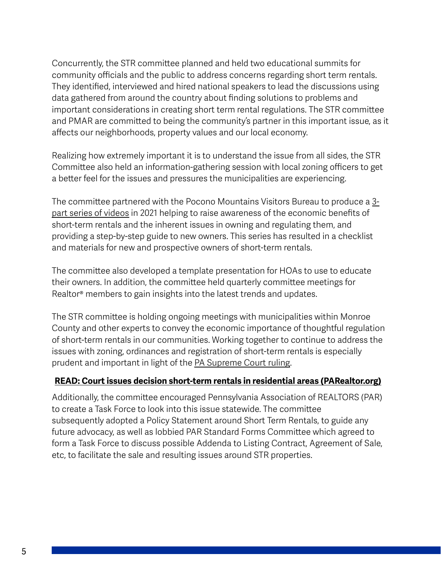Concurrently, the STR committee planned and held two educational summits for community officials and the public to address concerns regarding short term rentals. They identified, interviewed and hired national speakers to lead the discussions using data gathered from around the country about finding solutions to problems and important considerations in creating short term rental regulations. The STR committee and PMAR are committed to being the community's partner in this important issue, as it affects our neighborhoods, property values and our local economy.

Realizing how extremely important it is to understand the issue from all sides, the STR Committee also held an information-gathering session with local zoning officers to get a better feel for the issues and pressures the municipalities are experiencing.

The committee partnered with the Pocono Mountains Visitors Bureau to produce a [3](https://youtube.com/playlist?list=PLMTXIWLMQfXpOKuRBLdTKlVAWEt7dzbo_) [part series of videos](https://youtube.com/playlist?list=PLMTXIWLMQfXpOKuRBLdTKlVAWEt7dzbo_) in 2021 helping to raise awareness of the economic benefits of short-term rentals and the inherent issues in owning and regulating them, and providing a step-by-step guide to new owners. This series has resulted in a checklist and materials for new and prospective owners of short-term rentals.

The committee also developed a template presentation for HOAs to use to educate their owners. In addition, the committee held quarterly committee meetings for Realtor® members to gain insights into the latest trends and updates.

The STR committee is holding ongoing meetings with municipalities within Monroe County and other experts to convey the economic importance of thoughtful regulation of short-term rentals in our communities. Working together to continue to address the issues with zoning, ordinances and registration of short-term rentals is especially prudent and important in light of the [PA Supreme Court ruling.](https://www.mcall.com/news/local/mc-nws-airbnb-ruling-state-supreme-court-20190501-xzxfpcbuvzhltesiapq2dwlgxy-story.html)

### **[READ: Court issues decision short-term rentals in residential areas \(PARealtor.org\)](https://www.parealtor.org/justlisted/court-issues-decision-short-term-rentals-in-residential-areas/)**

Additionally, the committee encouraged Pennsylvania Association of REALTORS (PAR) to create a Task Force to look into this issue statewide. The committee subsequently adopted a Policy Statement around Short Term Rentals, to guide any future advocacy, as well as lobbied PAR Standard Forms Committee which agreed to form a Task Force to discuss possible Addenda to Listing Contract, Agreement of Sale, etc, to facilitate the sale and resulting issues around STR properties.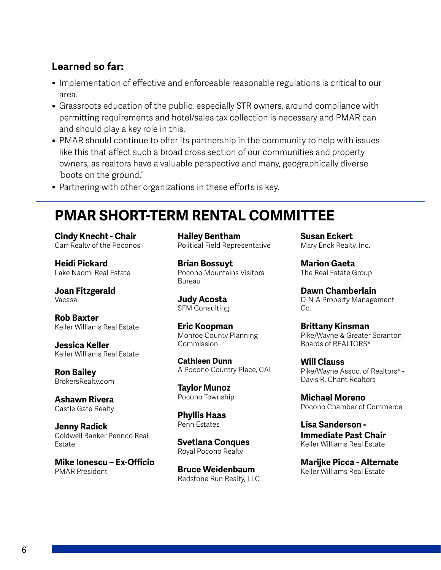### **Learned so far:**

- Implementation of effective and enforceable reasonable regulations is critical to our area.
- Grassroots education of the public, especially STR owners, around compliance with permitting requirements and hotel/sales tax collection is necessary and PMAR can and should play a key role in this.
- PMAR should continue to offer its partnership in the community to help with issues like this that affect such a broad cross section of our communities and property owners, as realtors have a valuable perspective and many, geographically diverse 'boots on the ground.'
- Partnering with other organizations in these efforts is key.

### **PMAR SHORT-TERM RENTAL COMMITTEE**

**Cindy Knecht - Chair** Carr Realty of the Poconos

**Heidi Pickard** Lake Naomi Real Estate

**Joan Fitzgerald** Vacasa

**Rob Baxter** Keller Williams Real Estate

**Jessica Keller** Keller Williams Real Estate

**Ron Bailey** BrokersRealty.com

**Ashawn Rivera** Castle Gate Realty

**Jenny Radick** Coldwell Banker Pennco Real Estate

**Mike Ionescu – Ex-Officio** PMAR President

**Hailey Bentham** Political Field Representative

**Brian Bossuyt** Pocono Mountains Visitors Bureau

**Judy Acosta** SFM Consulting

**Eric Koopman** Monroe County Planning Commission

**Cathleen Dunn** A Pocono Country Place, CAI

**Taylor Munoz** Pocono Township

**Phyllis Haas** Penn Estates

**Svetlana Conques** Royal Pocono Realty

**Bruce Weidenbaum** Redstone Run Realty, LLC **Susan Eckert** Mary Enck Realty, Inc.

**Marion Gaeta** The Real Estate Group

**Dawn Chamberlain** D-N-A Property Management Co.

**Brittany Kinsman** Pike/Wayne & Greater Scranton Boards of REALTORS®

**Will Clauss** Pike/Wayne Assoc. of Realtors® - Davis R. Chant Realtors

**Michael Moreno** Pocono Chamber of Commerce

**Lisa Sanderson - Immediate Past Chair** Keller Williams Real Estate

**Marijke Picca - Alternate** Keller Williams Real Estate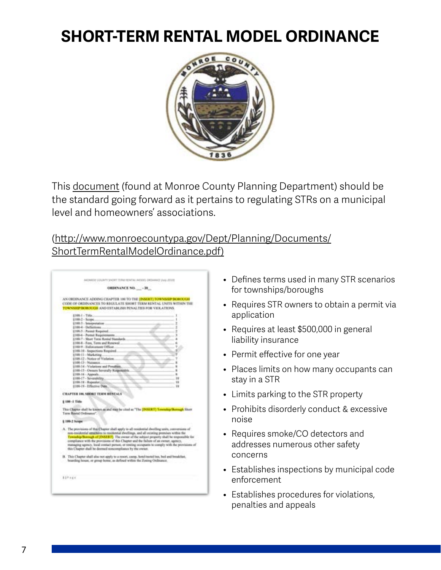# <span id="page-6-0"></span>**SHORT-TERM RENTAL MODEL ORDINANCE**



This [document](http://www.monroecountypa.gov/Dept/Planning/Documents/ShortTermRentalModelOrdinance.pdf) (found at Monroe County Planning Department) should be the standard going forward as it pertains to regulating STRs on a municipal level and homeowners' associations.

### (htt[p://www.monroecountypa.gov/Dept/Planning/Documents/](http://www.monroecountypa.gov/Dept/Planning/Documents/ShortTermRentalModelOrdinance.pdf) [ShortTermRentalModelOrdinance.pdf\)](http://www.monroecountypa.gov/Dept/Planning/Documents/ShortTermRentalModelOrdinance.pdf)

| ORDENANCE NO.  - 20                                                                             |
|-------------------------------------------------------------------------------------------------|
| AN ORDINANCE ADDING CIDAPTER 100 TO THE INSERTS TOWNSHIP BOROUGH                                |
| CODE OF ORDINANCES TO REGULATE SHORT THRM RENTAL UNITS WITHIN THE                               |
| TOWNSHIP INORDECED AND EXTABLISH PENALTIES FOR VIOLATIONS.                                      |
|                                                                                                 |
| 4100.1 - Tide<br>\$100-2 - Soleni                                                               |
| 4100-3 - Interpretation                                                                         |
| 4100-4 - Deflations                                                                             |
| [100.5 / Parmat Required                                                                        |
| <b>(100-6 - Portrat Reprintments</b> )                                                          |
| <b>4100-7 - Short Tores Rental Standards</b>                                                    |
| 4100-8 - Foos, Tarm and Ronewal.                                                                |
| 1100-9 - Enforcement Officer                                                                    |
| §100-18 - Inspections Required.                                                                 |
| \$100-11-Marketing                                                                              |
| \$100-12 - Notice of Violation<br>\$100-13 - Nuissance                                          |
| §100.14 - Violations and Penalties                                                              |
| 4100-15 - Owners Severally Rospot                                                               |
| [100-16 - Appeals.                                                                              |
| 4100-17 - Severability<br>10 <sup>2</sup>                                                       |
| §100-18 - Repealer<br>18                                                                        |
| 4100-19 - Effective Date.<br>w                                                                  |
| CHAPTER 100, SHORT TERM RENTALS                                                                 |
| 1100-1 Title                                                                                    |
|                                                                                                 |
| This Chapter shall be known as and map he clied as "The [POSSRT] Township Bosnigh Show          |
| Term Rental Crollenstow"                                                                        |
|                                                                                                 |
| <b>1100-2 Scope</b>                                                                             |
| A. The provisions of that Chapter shall apply to all residential dwelling units, conversions of |
| non-residential etractures to residential dwellings, and all estining premises within the       |
| Township/Borough of (DASFRT). The ewner of the subject property shall be responsible for        |
| compliance with the provisions of this Chapter and the failure of an owner, agency,             |
| managing agency, bood contact person, or ensing occupants to comply with the provisions of      |
| this Chapter shall be deemed noncompliance by the owner.                                        |
| B. This Chapter shall also not apply to a resort, camp, hotel motel but, bed and breakfast.     |
| boarding house, or group botter, as defined within the Zoning Ordinatesi.                       |
|                                                                                                 |
|                                                                                                 |
| <b>BIFAEE</b>                                                                                   |
|                                                                                                 |

- Defines terms used in many STR scenarios for townships/boroughs
- Requires STR owners to obtain a permit via application
- Requires at least \$500,000 in general liability insurance
- Permit effective for one year
- Places limits on how many occupants can stay in a STR
- Limits parking to the STR property
- Prohibits disorderly conduct & excessive noise
- Requires smoke/CO detectors and addresses numerous other safety concerns
- Establishes inspections by municipal code enforcement
- Establishes procedures for violations, penalties and appeals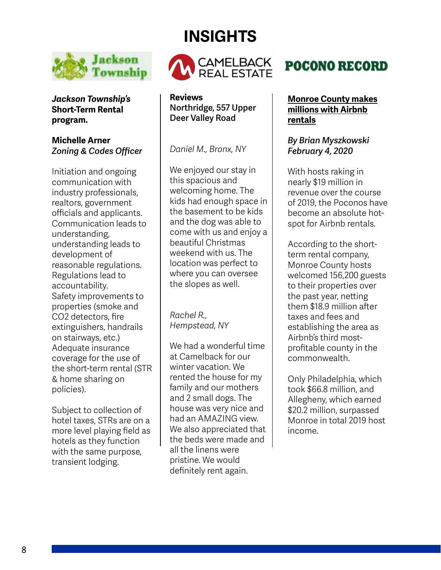# **INSIGHTS**

**CAMELBACK** 

REAL ESTATE



*Daniel M., Bronx, NY*

We enjoyed our stay in this spacious and welcoming home. The kids had enough space in the basement to be kids and the dog was able to come with us and enjoy a beautiful Christmas weekend with us. The location was perfect to where you can oversee the slopes as well.

*Rachel R., Hempstead, NY*

We had a wonderful time at Camelback for our winter vacation. We rented the house for my family and our mothers and 2 small dogs. The house was very nice and had an AMAZING view. We also appreciated that the beds were made and all the linens were pristine. We would definitely rent again.

# **POCONO RECORD**

### **[Monroe County makes](https://www.poconorecord.com/story/business/economy/2020/02/04/monroe-county-makes-millions-with/1769628007/)  [millions with Airbnb](https://www.poconorecord.com/story/business/economy/2020/02/04/monroe-county-makes-millions-with/1769628007/)  [rentals](https://www.poconorecord.com/story/business/economy/2020/02/04/monroe-county-makes-millions-with/1769628007/)**

### *By Brian Myszkowski February 4, 2020*

With hosts raking in nearly \$19 million in revenue over the course of 2019, the Poconos have become an absolute hotspot for Airbnb rentals.

According to the shortterm rental company, Monroe County hosts welcomed 156,200 guests to their properties over the past year, netting them \$18.9 million after taxes and fees and establishing the area as Airbnb's third mostprofitable county in the commonwealth.

Only Philadelphia, which took \$66.8 million, and Allegheny, which earned \$20.2 million, surpassed Monroe in total 2019 host income.

<span id="page-7-0"></span>

**Jackson** 

*Jackson Township's*  **Short-Term Rental program.**

### **Michelle Arner** *Zoning & Codes Officer*

Initiation and ongoing communication with industry professionals, realtors, government officials and applicants. Communication leads to understanding, understanding leads to development of reasonable regulations. Regulations lead to accountability. Safety improvements to properties (smoke and CO2 detectors, fire extinguishers, handrails on stairways, etc.) Adequate insurance coverage for the use of the short-term rental (STR & home sharing on policies).

Subject to collection of hotel taxes, STRs are on a more level playing field as hotels as they function with the same purpose, transient lodging.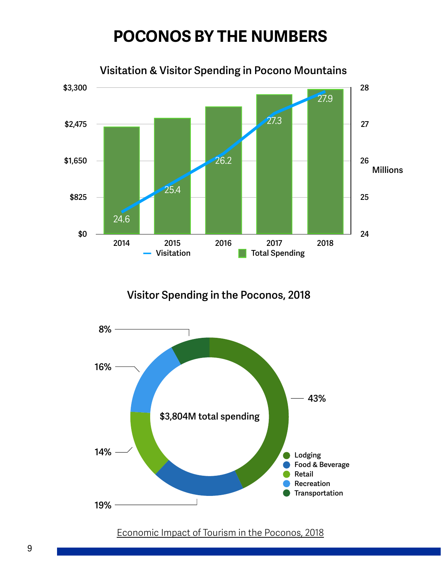# **POCONOS BY THE NUMBERS**

<span id="page-8-0"></span>

**Visitor Spending in the Poconos, 2018**



[Economic Impact of Tourism in the Poconos, 2018](https://assets.simpleviewinc.com/simpleview/image/upload/v1/clients/poconos/Economic_Impact_of_Tourism_in_the_Poconos_2018_client_e28c0f22-80f2-4b73-b2ef-2404444f4661.pdf)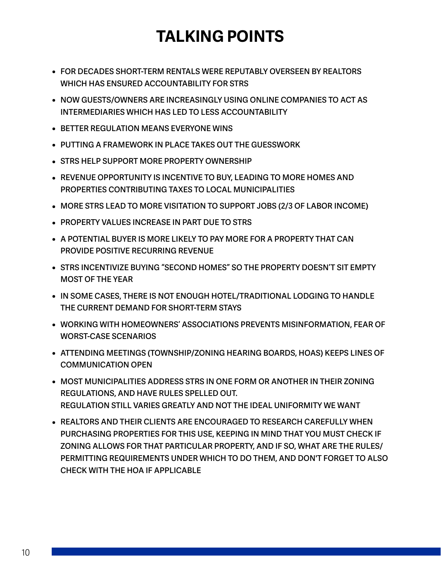# **TALKING POINTS**

- <span id="page-9-0"></span>**• FOR DECADES SHORT-TERM RENTALS WERE REPUTABLY OVERSEEN BY REALTORS WHICH HAS ENSURED ACCOUNTABILITY FOR STRS**
- **• NOW GUESTS/OWNERS ARE INCREASINGLY USING ONLINE COMPANIES TO ACT AS INTERMEDIARIES WHICH HAS LED TO LESS ACCOUNTABILITY**
- **• BETTER REGULATION MEANS EVERYONE WINS**
- **• PUTTING A FRAMEWORK IN PLACE TAKES OUT THE GUESSWORK**
- **• STRS HELP SUPPORT MORE PROPERTY OWNERSHIP**
- **• REVENUE OPPORTUNITY IS INCENTIVE TO BUY, LEADING TO MORE HOMES AND PROPERTIES CONTRIBUTING TAXES TO LOCAL MUNICIPALITIES**
- **• MORE STRS LEAD TO MORE VISITATION TO SUPPORT JOBS (2/3 OF LABOR INCOME)**
- **• PROPERTY VALUES INCREASE IN PART DUE TO STRS**
- **• A POTENTIAL BUYER IS MORE LIKELY TO PAY MORE FOR A PROPERTY THAT CAN PROVIDE POSITIVE RECURRING REVENUE**
- **• STRS INCENTIVIZE BUYING "SECOND HOMES" SO THE PROPERTY DOESN'T SIT EMPTY MOST OF THE YEAR**
- **• IN SOME CASES, THERE IS NOT ENOUGH HOTEL/TRADITIONAL LODGING TO HANDLE THE CURRENT DEMAND FOR SHORT-TERM STAYS**
- **• WORKING WITH HOMEOWNERS' ASSOCIATIONS PREVENTS MISINFORMATION, FEAR OF WORST-CASE SCENARIOS**
- **• ATTENDING MEETINGS (TOWNSHIP/ZONING HEARING BOARDS, HOAS) KEEPS LINES OF COMMUNICATION OPEN**
- **• MOST MUNICIPALITIES ADDRESS STRS IN ONE FORM OR ANOTHER IN THEIR ZONING REGULATIONS, AND HAVE RULES SPELLED OUT. REGULATION STILL VARIES GREATLY AND NOT THE IDEAL UNIFORMITY WE WANT**
- **• REALTORS AND THEIR CLIENTS ARE ENCOURAGED TO RESEARCH CAREFULLY WHEN PURCHASING PROPERTIES FOR THIS USE, KEEPING IN MIND THAT YOU MUST CHECK IF ZONING ALLOWS FOR THAT PARTICULAR PROPERTY, AND IF SO, WHAT ARE THE RULES/ PERMITTING REQUIREMENTS UNDER WHICH TO DO THEM, AND DON'T FORGET TO ALSO CHECK WITH THE HOA IF APPLICABLE**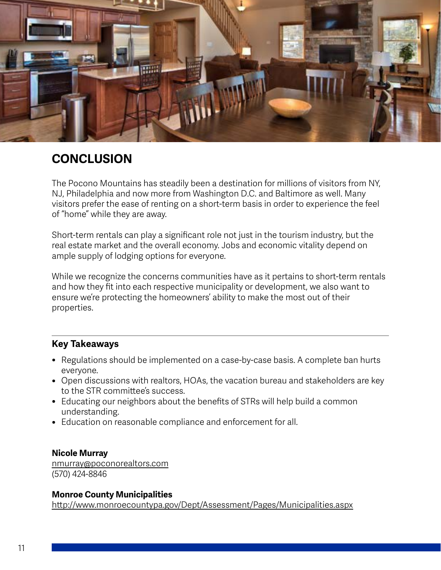<span id="page-10-0"></span>

### **CONCLUSION**

The Pocono Mountains has steadily been a destination for millions of visitors from NY, NJ, Philadelphia and now more from Washington D.C. and Baltimore as well. Many visitors prefer the ease of renting on a short-term basis in order to experience the feel of "home" while they are away.

Short-term rentals can play a significant role not just in the tourism industry, but the real estate market and the overall economy. Jobs and economic vitality depend on ample supply of lodging options for everyone.

While we recognize the concerns communities have as it pertains to short-term rentals and how they fit into each respective municipality or development, we also want to ensure we're protecting the homeowners' ability to make the most out of their properties.

### **Key Takeaways**

- Regulations should be implemented on a case-by-case basis. A complete ban hurts everyone.
- Open discussions with realtors, HOAs, the vacation bureau and stakeholders are key to the STR committee's success.
- Educating our neighbors about the benefits of STRs will help build a common understanding.
- Education on reasonable compliance and enforcement for all.

#### **Nicole Murray**

[nmurray@poconorealtors.com](mailto:nmurray@poconorealtors.com) (570) 424-8846

### **Monroe County Municipalities**

htt[p://www.monroecountypa.gov/Dept/Assessment/Pages/Municipalities.aspx](http://www.monroecountypa.gov/Dept/Assessment/Pages/Municipalities.aspx)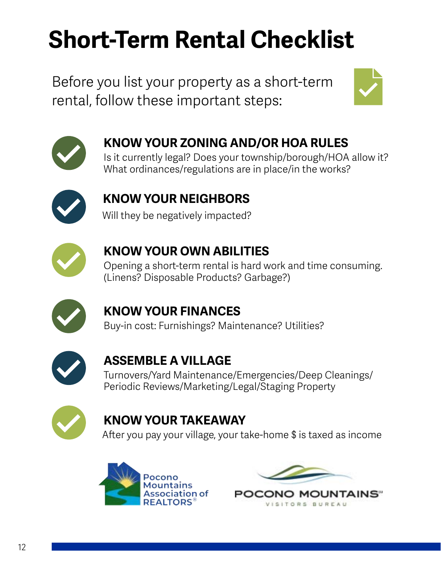# <span id="page-11-0"></span>**Short-Term Rental Checklist**

Before you list your property as a short-term rental, follow these important steps:





# **KNOW YOUR ZONING AND/OR HOA RULES**

Is it currently legal? Does your township/borough/HOA allow it? What ordinances/regulations are in place/in the works?



# **KNOW YOUR NEIGHBORS**

Will they be negatively impacted?



# **KNOW YOUR OWN ABILITIES**

Opening a short-term rental is hard work and time consuming. (Linens? Disposable Products? Garbage?)



## **KNOW YOUR FINANCES**

Buy-in cost: Furnishings? Maintenance? Utilities?



### **ASSEMBLE A VILLAGE**

Turnovers/Yard Maintenance/Emergencies/Deep Cleanings/ Periodic Reviews/Marketing/Legal/Staging Property



## **KNOW YOUR TAKEAWAY**

After you pay your village, your take-home \$ is taxed as income